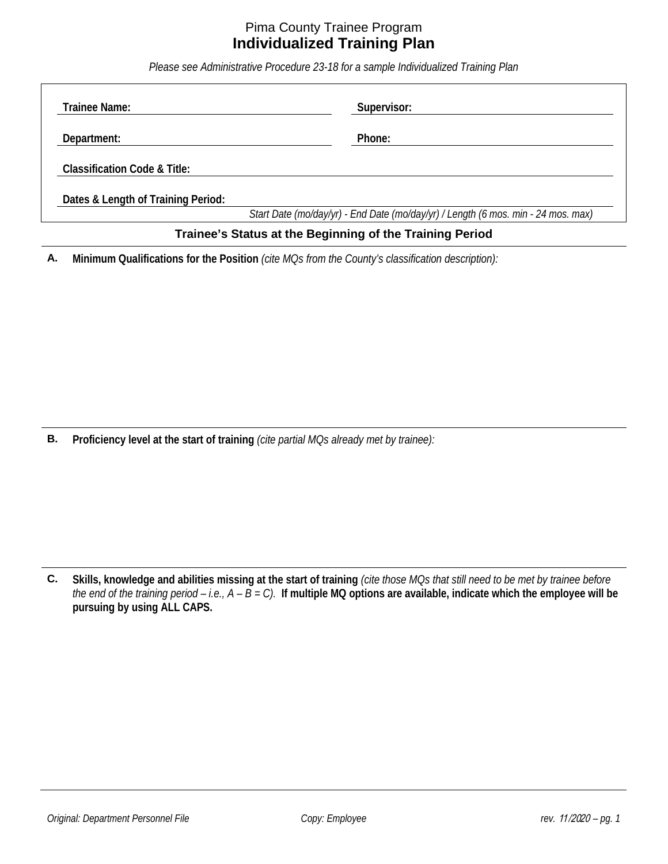## Pima County Trainee Program **Individualized Training Plan**

*Please see Administrative Procedure 23-18 for a sample Individualized Training Plan*

| Trainee Name:                           | Supervisor:                                                                       |
|-----------------------------------------|-----------------------------------------------------------------------------------|
| Department:                             | Phone:                                                                            |
| <b>Classification Code &amp; Title:</b> |                                                                                   |
| Dates & Length of Training Period:      |                                                                                   |
|                                         | Start Date (mo/day/yr) - End Date (mo/day/yr) / Length (6 mos. min - 24 mos. max) |

## **Trainee's Status at the Beginning of the Training Period**

**A. Minimum Qualifications for the Position** *(cite MQs from the County's classification description):*

**B. Proficiency level at the start of training** *(cite partial MQs already met by trainee):*

**C. Skills, knowledge and abilities missing at the start of training** *(cite those MQs that still need to be met by trainee before the end of the training period – i.e., A – B = C).* **If multiple MQ options are available, indicate which the employee will be pursuing by using ALL CAPS.**